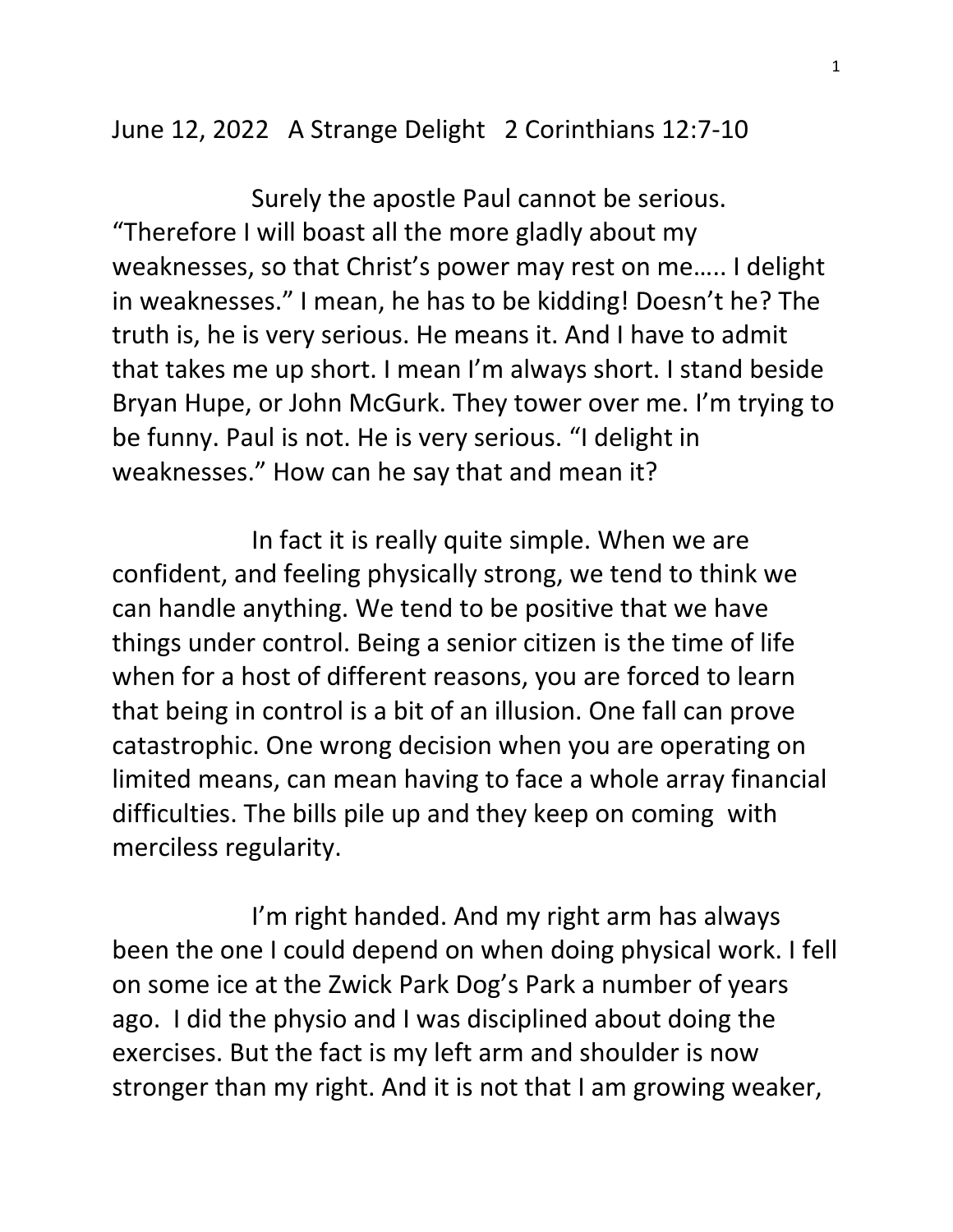June 12, 2022 A Strange Delight 2 Corinthians 12:7-10

 Surely the apostle Paul cannot be serious. "Therefore I will boast all the more gladly about my weaknesses, so that Christ's power may rest on me….. I delight in weaknesses." I mean, he has to be kidding! Doesn't he? The truth is, he is very serious. He means it. And I have to admit that takes me up short. I mean I'm always short. I stand beside Bryan Hupe, or John McGurk. They tower over me. I'm trying to be funny. Paul is not. He is very serious. "I delight in weaknesses." How can he say that and mean it?

 In fact it is really quite simple. When we are confident, and feeling physically strong, we tend to think we can handle anything. We tend to be positive that we have things under control. Being a senior citizen is the time of life when for a host of different reasons, you are forced to learn that being in control is a bit of an illusion. One fall can prove catastrophic. One wrong decision when you are operating on limited means, can mean having to face a whole array financial difficulties. The bills pile up and they keep on coming with merciless regularity.

 I'm right handed. And my right arm has always been the one I could depend on when doing physical work. I fell on some ice at the Zwick Park Dog's Park a number of years ago. I did the physio and I was disciplined about doing the exercises. But the fact is my left arm and shoulder is now stronger than my right. And it is not that I am growing weaker,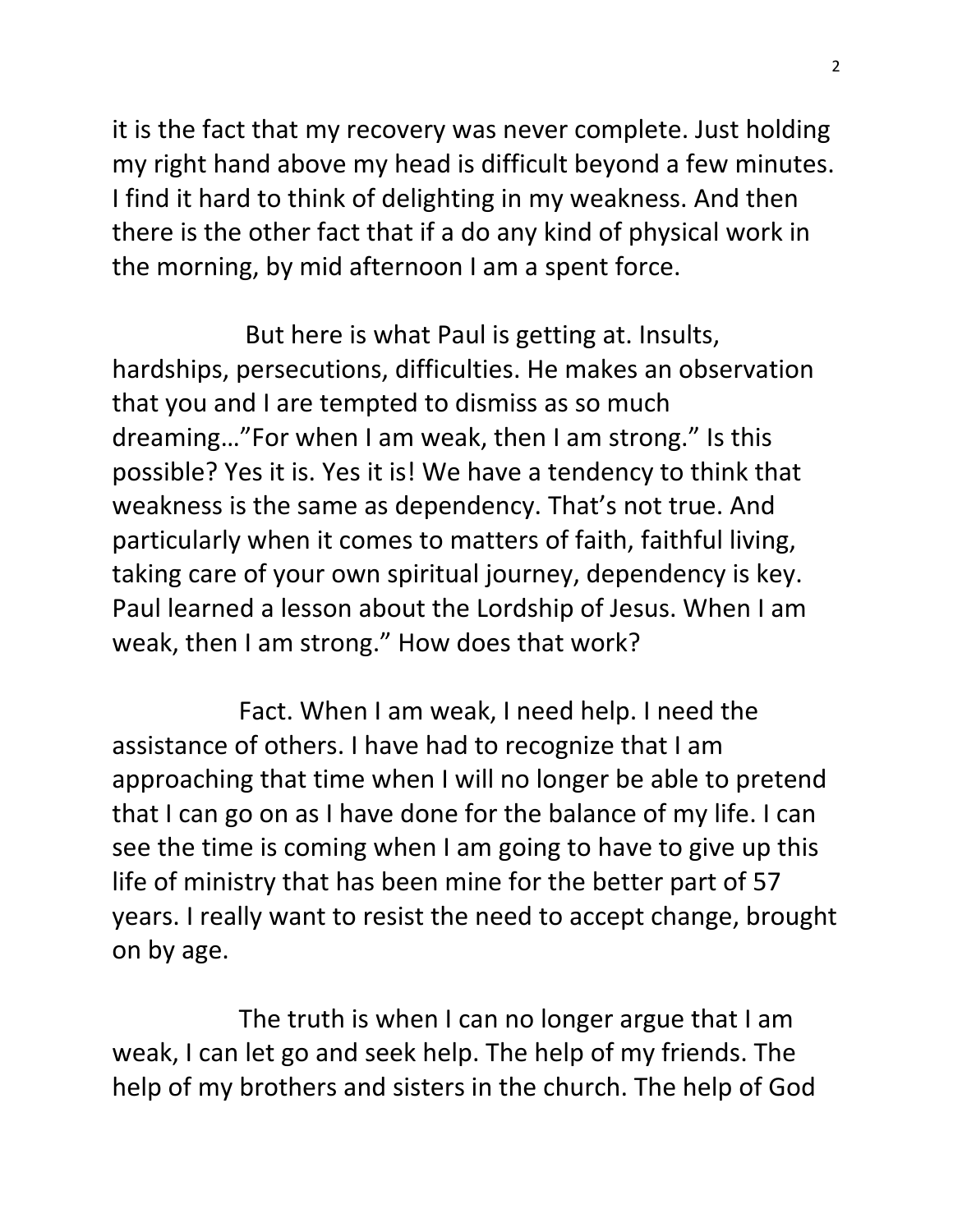it is the fact that my recovery was never complete. Just holding my right hand above my head is difficult beyond a few minutes. I find it hard to think of delighting in my weakness. And then there is the other fact that if a do any kind of physical work in the morning, by mid afternoon I am a spent force.

 But here is what Paul is getting at. Insults, hardships, persecutions, difficulties. He makes an observation that you and I are tempted to dismiss as so much dreaming…"For when I am weak, then I am strong." Is this possible? Yes it is. Yes it is! We have a tendency to think that weakness is the same as dependency. That's not true. And particularly when it comes to matters of faith, faithful living, taking care of your own spiritual journey, dependency is key. Paul learned a lesson about the Lordship of Jesus. When I am weak, then I am strong." How does that work?

 Fact. When I am weak, I need help. I need the assistance of others. I have had to recognize that I am approaching that time when I will no longer be able to pretend that I can go on as I have done for the balance of my life. I can see the time is coming when I am going to have to give up this life of ministry that has been mine for the better part of 57 years. I really want to resist the need to accept change, brought on by age.

 The truth is when I can no longer argue that I am weak, I can let go and seek help. The help of my friends. The help of my brothers and sisters in the church. The help of God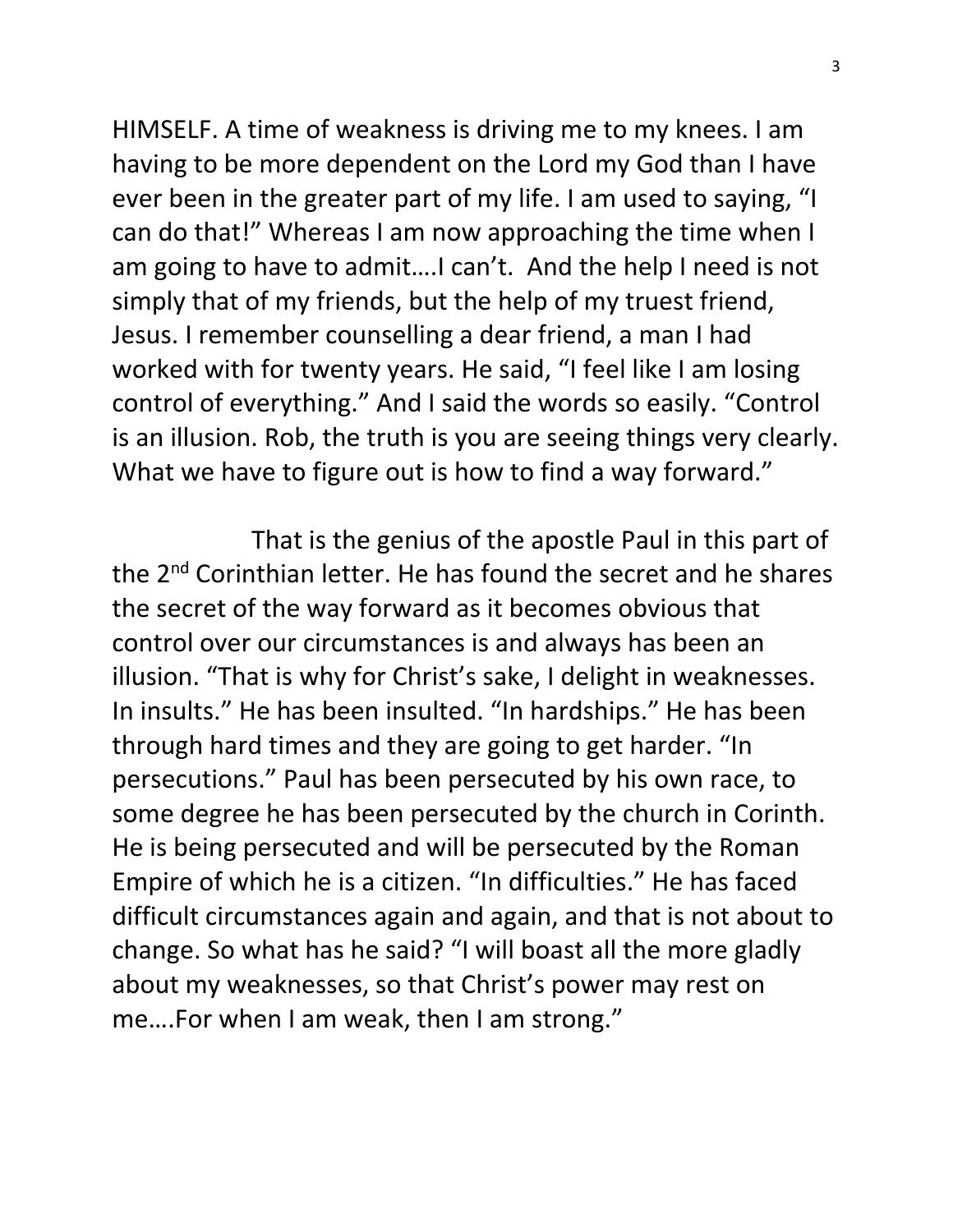HIMSELF. A time of weakness is driving me to my knees. I am having to be more dependent on the Lord my God than I have ever been in the greater part of my life. I am used to saying, "I can do that!" Whereas I am now approaching the time when I am going to have to admit….I can't. And the help I need is not simply that of my friends, but the help of my truest friend, Jesus. I remember counselling a dear friend, a man I had worked with for twenty years. He said, "I feel like I am losing control of everything." And I said the words so easily. "Control is an illusion. Rob, the truth is you are seeing things very clearly. What we have to figure out is how to find a way forward."

 That is the genius of the apostle Paul in this part of the 2<sup>nd</sup> Corinthian letter. He has found the secret and he shares the secret of the way forward as it becomes obvious that control over our circumstances is and always has been an illusion. "That is why for Christ's sake, I delight in weaknesses. In insults." He has been insulted. "In hardships." He has been through hard times and they are going to get harder. "In persecutions." Paul has been persecuted by his own race, to some degree he has been persecuted by the church in Corinth. He is being persecuted and will be persecuted by the Roman Empire of which he is a citizen. "In difficulties." He has faced difficult circumstances again and again, and that is not about to change. So what has he said? "I will boast all the more gladly about my weaknesses, so that Christ's power may rest on me….For when I am weak, then I am strong."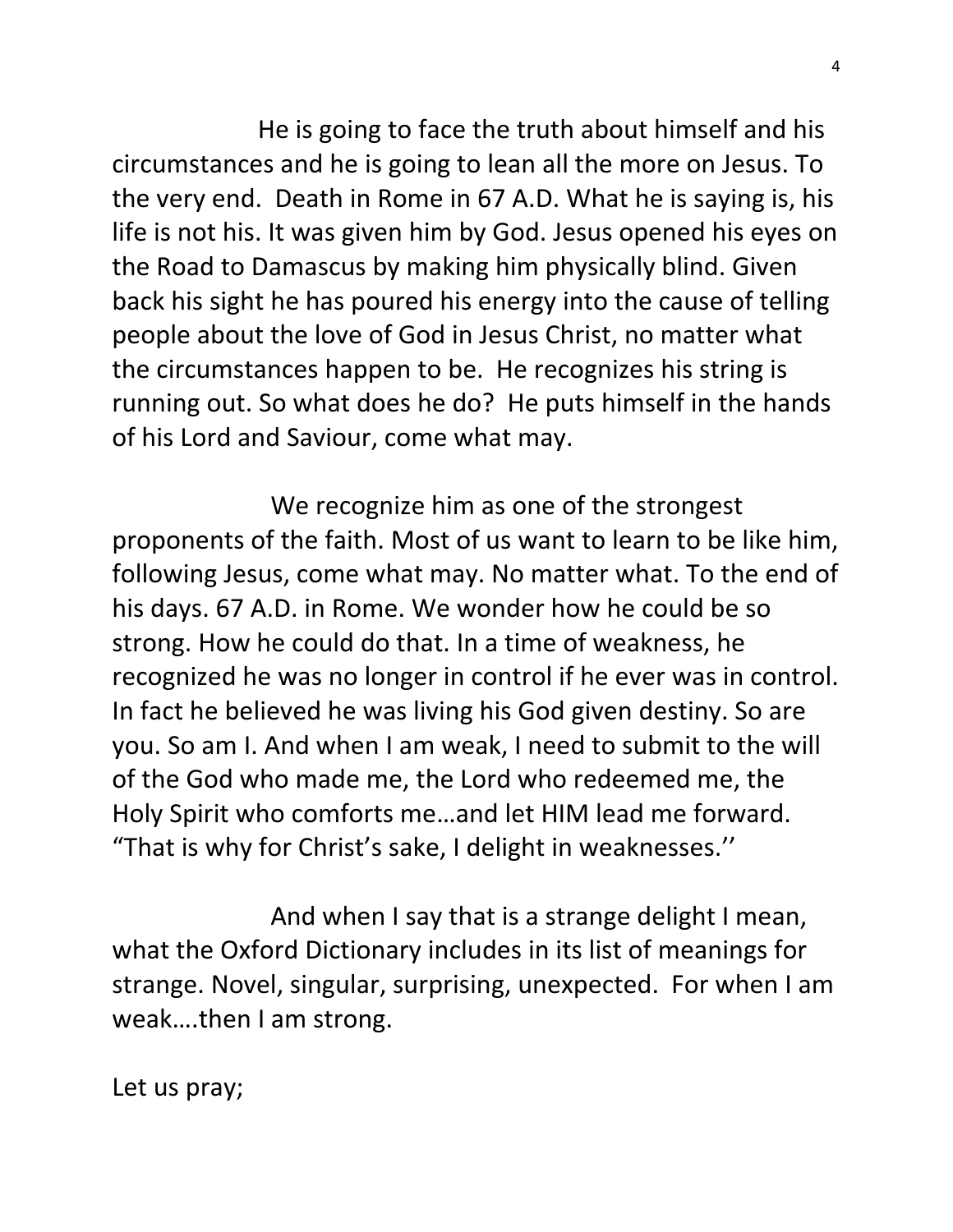He is going to face the truth about himself and his circumstances and he is going to lean all the more on Jesus. To the very end. Death in Rome in 67 A.D. What he is saying is, his life is not his. It was given him by God. Jesus opened his eyes on the Road to Damascus by making him physically blind. Given back his sight he has poured his energy into the cause of telling people about the love of God in Jesus Christ, no matter what the circumstances happen to be. He recognizes his string is running out. So what does he do? He puts himself in the hands of his Lord and Saviour, come what may.

 We recognize him as one of the strongest proponents of the faith. Most of us want to learn to be like him, following Jesus, come what may. No matter what. To the end of his days. 67 A.D. in Rome. We wonder how he could be so strong. How he could do that. In a time of weakness, he recognized he was no longer in control if he ever was in control. In fact he believed he was living his God given destiny. So are you. So am I. And when I am weak, I need to submit to the will of the God who made me, the Lord who redeemed me, the Holy Spirit who comforts me…and let HIM lead me forward. "That is why for Christ's sake, I delight in weaknesses.''

 And when I say that is a strange delight I mean, what the Oxford Dictionary includes in its list of meanings for strange. Novel, singular, surprising, unexpected. For when I am weak….then I am strong.

Let us pray;